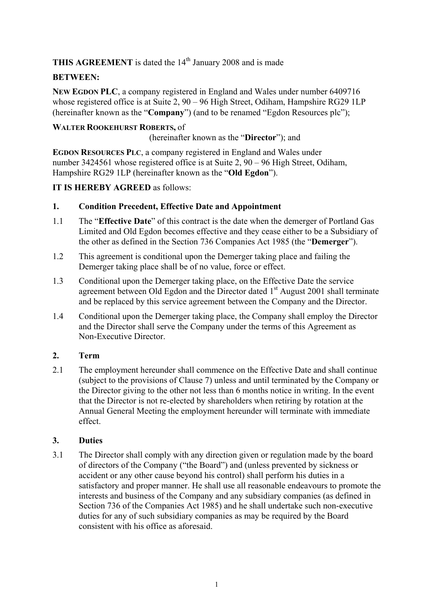THIS AGREEMENT is dated the 14<sup>th</sup> January 2008 and is made

# **BETWEEN:**

**NEW EGDON PLC**, a company registered in England and Wales under number 6409716 whose registered office is at Suite 2, 90 – 96 High Street, Odiham, Hampshire RG29 1LP (hereinafter known as the "**Company**") (and to be renamed "Egdon Resources plc");

## **WALTER ROOKEHURST ROBERTS,** of

(hereinafter known as the "**Director**"); and

**EGDON RESOURCES PLC**, a company registered in England and Wales under number 3424561 whose registered office is at Suite 2, 90 – 96 High Street, Odiham, Hampshire RG29 1LP (hereinafter known as the "**Old Egdon**").

**IT IS HEREBY AGREED** as follows:

#### **1. Condition Precedent, Effective Date and Appointment**

- 1.1 The "**Effective Date**" of this contract is the date when the demerger of Portland Gas Limited and Old Egdon becomes effective and they cease either to be a Subsidiary of the other as defined in the Section 736 Companies Act 1985 (the "**Demerger**").
- 1.2 This agreement is conditional upon the Demerger taking place and failing the Demerger taking place shall be of no value, force or effect.
- 1.3 Conditional upon the Demerger taking place, on the Effective Date the service agreement between Old Egdon and the Director dated  $1<sup>st</sup>$  August 2001 shall terminate and be replaced by this service agreement between the Company and the Director.
- 1.4 Conditional upon the Demerger taking place, the Company shall employ the Director and the Director shall serve the Company under the terms of this Agreement as Non-Executive Director.

# **2. Term**

2.1 The employment hereunder shall commence on the Effective Date and shall continue (subject to the provisions of Clause 7) unless and until terminated by the Company or the Director giving to the other not less than 6 months notice in writing. In the event that the Director is not re-elected by shareholders when retiring by rotation at the Annual General Meeting the employment hereunder will terminate with immediate effect.

#### **3. Duties**

3.1 The Director shall comply with any direction given or regulation made by the board of directors of the Company ("the Board") and (unless prevented by sickness or accident or any other cause beyond his control) shall perform his duties in a satisfactory and proper manner. He shall use all reasonable endeavours to promote the interests and business of the Company and any subsidiary companies (as defined in Section 736 of the Companies Act 1985) and he shall undertake such non-executive duties for any of such subsidiary companies as may be required by the Board consistent with his office as aforesaid.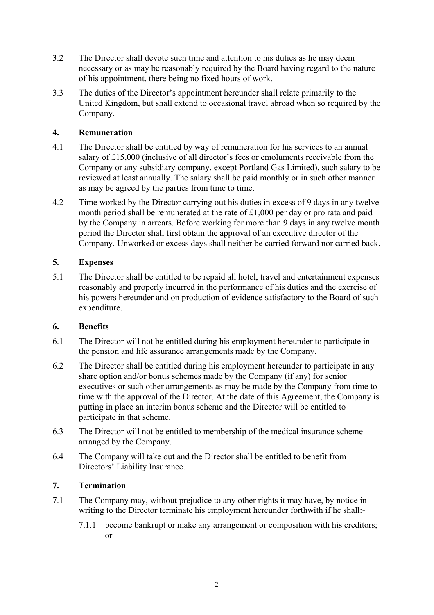- 3.2 The Director shall devote such time and attention to his duties as he may deem necessary or as may be reasonably required by the Board having regard to the nature of his appointment, there being no fixed hours of work.
- 3.3 The duties of the Director's appointment hereunder shall relate primarily to the United Kingdom, but shall extend to occasional travel abroad when so required by the Company.

### **4. Remuneration**

- 4.1 The Director shall be entitled by way of remuneration for his services to an annual salary of £15,000 (inclusive of all director's fees or emoluments receivable from the Company or any subsidiary company, except Portland Gas Limited), such salary to be reviewed at least annually. The salary shall be paid monthly or in such other manner as may be agreed by the parties from time to time.
- 4.2 Time worked by the Director carrying out his duties in excess of 9 days in any twelve month period shall be remunerated at the rate of £1,000 per day or pro rata and paid by the Company in arrears. Before working for more than 9 days in any twelve month period the Director shall first obtain the approval of an executive director of the Company. Unworked or excess days shall neither be carried forward nor carried back.

## **5. Expenses**

5.1 The Director shall be entitled to be repaid all hotel, travel and entertainment expenses reasonably and properly incurred in the performance of his duties and the exercise of his powers hereunder and on production of evidence satisfactory to the Board of such expenditure.

#### **6. Benefits**

- 6.1 The Director will not be entitled during his employment hereunder to participate in the pension and life assurance arrangements made by the Company.
- 6.2 The Director shall be entitled during his employment hereunder to participate in any share option and/or bonus schemes made by the Company (if any) for senior executives or such other arrangements as may be made by the Company from time to time with the approval of the Director. At the date of this Agreement, the Company is putting in place an interim bonus scheme and the Director will be entitled to participate in that scheme.
- 6.3 The Director will not be entitled to membership of the medical insurance scheme arranged by the Company.
- 6.4 The Company will take out and the Director shall be entitled to benefit from Directors' Liability Insurance.

#### **7. Termination**

- 7.1 The Company may, without prejudice to any other rights it may have, by notice in writing to the Director terminate his employment hereunder forthwith if he shall:-
	- 7.1.1 become bankrupt or make any arrangement or composition with his creditors; or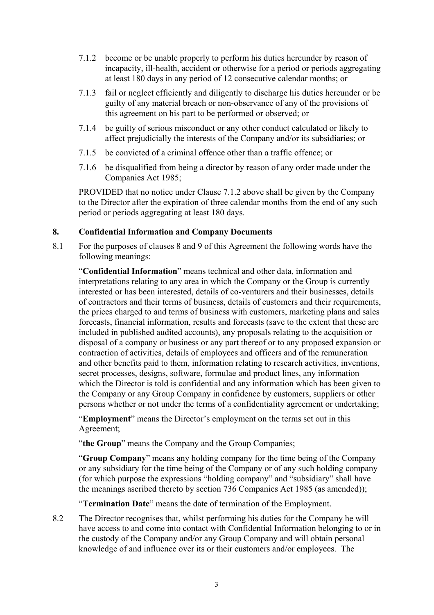- 7.1.2 become or be unable properly to perform his duties hereunder by reason of incapacity, ill-health, accident or otherwise for a period or periods aggregating at least 180 days in any period of 12 consecutive calendar months; or
- 7.1.3 fail or neglect efficiently and diligently to discharge his duties hereunder or be guilty of any material breach or non-observance of any of the provisions of this agreement on his part to be performed or observed; or
- 7.1.4 be guilty of serious misconduct or any other conduct calculated or likely to affect prejudicially the interests of the Company and/or its subsidiaries; or
- 7.1.5 be convicted of a criminal offence other than a traffic offence; or
- 7.1.6 be disqualified from being a director by reason of any order made under the Companies Act 1985;

PROVIDED that no notice under Clause 7.1.2 above shall be given by the Company to the Director after the expiration of three calendar months from the end of any such period or periods aggregating at least 180 days.

#### **8. Confidential Information and Company Documents**

8.1 For the purposes of clauses 8 and 9 of this Agreement the following words have the following meanings:

"**Confidential Information**" means technical and other data, information and interpretations relating to any area in which the Company or the Group is currently interested or has been interested, details of co-venturers and their businesses, details of contractors and their terms of business, details of customers and their requirements, the prices charged to and terms of business with customers, marketing plans and sales forecasts, financial information, results and forecasts (save to the extent that these are included in published audited accounts), any proposals relating to the acquisition or disposal of a company or business or any part thereof or to any proposed expansion or contraction of activities, details of employees and officers and of the remuneration and other benefits paid to them, information relating to research activities, inventions, secret processes, designs, software, formulae and product lines, any information which the Director is told is confidential and any information which has been given to the Company or any Group Company in confidence by customers, suppliers or other persons whether or not under the terms of a confidentiality agreement or undertaking;

"**Employment**" means the Director's employment on the terms set out in this Agreement;

"**the Group**" means the Company and the Group Companies;

"**Group Company**" means any holding company for the time being of the Company or any subsidiary for the time being of the Company or of any such holding company (for which purpose the expressions "holding company" and "subsidiary" shall have the meanings ascribed thereto by section 736 Companies Act 1985 (as amended));

"**Termination Date**" means the date of termination of the Employment.

8.2 The Director recognises that, whilst performing his duties for the Company he will have access to and come into contact with Confidential Information belonging to or in the custody of the Company and/or any Group Company and will obtain personal knowledge of and influence over its or their customers and/or employees. The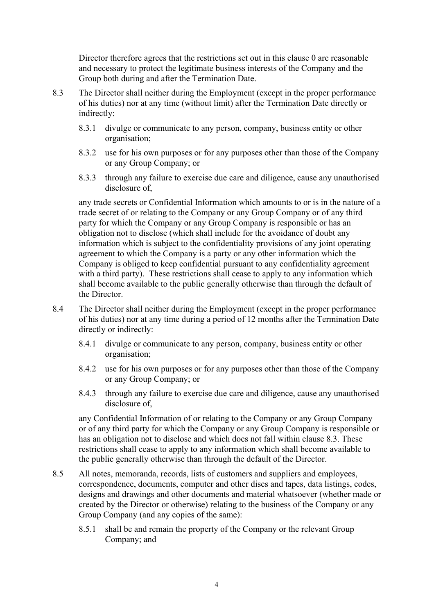Director therefore agrees that the restrictions set out in this clause 0 are reasonable and necessary to protect the legitimate business interests of the Company and the Group both during and after the Termination Date.

- 8.3 The Director shall neither during the Employment (except in the proper performance of his duties) nor at any time (without limit) after the Termination Date directly or indirectly:
	- 8.3.1 divulge or communicate to any person, company, business entity or other organisation;
	- 8.3.2 use for his own purposes or for any purposes other than those of the Company or any Group Company; or
	- 8.3.3 through any failure to exercise due care and diligence, cause any unauthorised disclosure of,

any trade secrets or Confidential Information which amounts to or is in the nature of a trade secret of or relating to the Company or any Group Company or of any third party for which the Company or any Group Company is responsible or has an obligation not to disclose (which shall include for the avoidance of doubt any information which is subject to the confidentiality provisions of any joint operating agreement to which the Company is a party or any other information which the Company is obliged to keep confidential pursuant to any confidentiality agreement with a third party). These restrictions shall cease to apply to any information which shall become available to the public generally otherwise than through the default of the Director.

- 8.4 The Director shall neither during the Employment (except in the proper performance of his duties) nor at any time during a period of 12 months after the Termination Date directly or indirectly:
	- 8.4.1 divulge or communicate to any person, company, business entity or other organisation;
	- 8.4.2 use for his own purposes or for any purposes other than those of the Company or any Group Company; or
	- 8.4.3 through any failure to exercise due care and diligence, cause any unauthorised disclosure of.

any Confidential Information of or relating to the Company or any Group Company or of any third party for which the Company or any Group Company is responsible or has an obligation not to disclose and which does not fall within clause 8.3. These restrictions shall cease to apply to any information which shall become available to the public generally otherwise than through the default of the Director.

- 8.5 All notes, memoranda, records, lists of customers and suppliers and employees, correspondence, documents, computer and other discs and tapes, data listings, codes, designs and drawings and other documents and material whatsoever (whether made or created by the Director or otherwise) relating to the business of the Company or any Group Company (and any copies of the same):
	- 8.5.1 shall be and remain the property of the Company or the relevant Group Company; and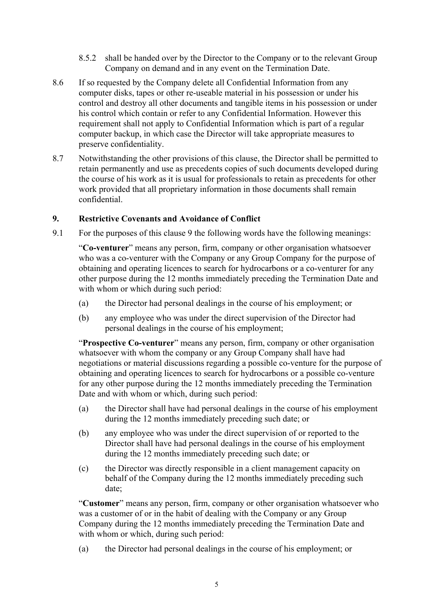- 8.5.2 shall be handed over by the Director to the Company or to the relevant Group Company on demand and in any event on the Termination Date.
- 8.6 If so requested by the Company delete all Confidential Information from any computer disks, tapes or other re-useable material in his possession or under his control and destroy all other documents and tangible items in his possession or under his control which contain or refer to any Confidential Information. However this requirement shall not apply to Confidential Information which is part of a regular computer backup, in which case the Director will take appropriate measures to preserve confidentiality.
- 8.7 Notwithstanding the other provisions of this clause, the Director shall be permitted to retain permanently and use as precedents copies of such documents developed during the course of his work as it is usual for professionals to retain as precedents for other work provided that all proprietary information in those documents shall remain confidential.

#### **9. Restrictive Covenants and Avoidance of Conflict**

9.1 For the purposes of this clause 9 the following words have the following meanings:

"**Co-venturer**" means any person, firm, company or other organisation whatsoever who was a co-venturer with the Company or any Group Company for the purpose of obtaining and operating licences to search for hydrocarbons or a co-venturer for any other purpose during the 12 months immediately preceding the Termination Date and with whom or which during such period:

- (a) the Director had personal dealings in the course of his employment; or
- (b) any employee who was under the direct supervision of the Director had personal dealings in the course of his employment;

"**Prospective Co-venturer**" means any person, firm, company or other organisation whatsoever with whom the company or any Group Company shall have had negotiations or material discussions regarding a possible co-venture for the purpose of obtaining and operating licences to search for hydrocarbons or a possible co-venture for any other purpose during the 12 months immediately preceding the Termination Date and with whom or which, during such period:

- (a) the Director shall have had personal dealings in the course of his employment during the 12 months immediately preceding such date; or
- (b) any employee who was under the direct supervision of or reported to the Director shall have had personal dealings in the course of his employment during the 12 months immediately preceding such date; or
- (c) the Director was directly responsible in a client management capacity on behalf of the Company during the 12 months immediately preceding such date;

"**Customer**" means any person, firm, company or other organisation whatsoever who was a customer of or in the habit of dealing with the Company or any Group Company during the 12 months immediately preceding the Termination Date and with whom or which, during such period:

(a) the Director had personal dealings in the course of his employment; or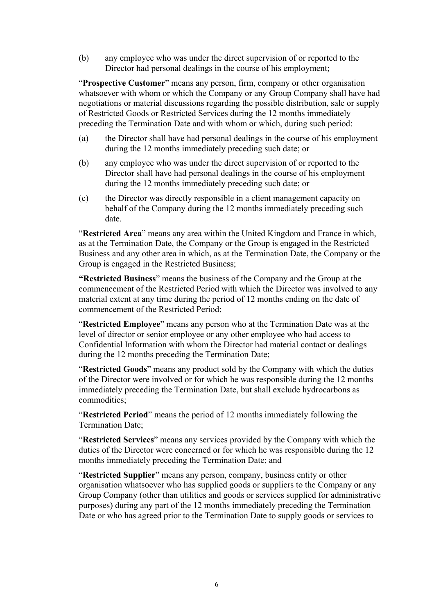(b) any employee who was under the direct supervision of or reported to the Director had personal dealings in the course of his employment;

"**Prospective Customer**" means any person, firm, company or other organisation whatsoever with whom or which the Company or any Group Company shall have had negotiations or material discussions regarding the possible distribution, sale or supply of Restricted Goods or Restricted Services during the 12 months immediately preceding the Termination Date and with whom or which, during such period:

- (a) the Director shall have had personal dealings in the course of his employment during the 12 months immediately preceding such date; or
- (b) any employee who was under the direct supervision of or reported to the Director shall have had personal dealings in the course of his employment during the 12 months immediately preceding such date; or
- (c) the Director was directly responsible in a client management capacity on behalf of the Company during the 12 months immediately preceding such date.

"**Restricted Area**" means any area within the United Kingdom and France in which, as at the Termination Date, the Company or the Group is engaged in the Restricted Business and any other area in which, as at the Termination Date, the Company or the Group is engaged in the Restricted Business;

**"Restricted Business**" means the business of the Company and the Group at the commencement of the Restricted Period with which the Director was involved to any material extent at any time during the period of 12 months ending on the date of commencement of the Restricted Period;

"**Restricted Employee**" means any person who at the Termination Date was at the level of director or senior employee or any other employee who had access to Confidential Information with whom the Director had material contact or dealings during the 12 months preceding the Termination Date;

"**Restricted Goods**" means any product sold by the Company with which the duties of the Director were involved or for which he was responsible during the 12 months immediately preceding the Termination Date, but shall exclude hydrocarbons as commodities;

"**Restricted Period**" means the period of 12 months immediately following the Termination Date;

"**Restricted Services**" means any services provided by the Company with which the duties of the Director were concerned or for which he was responsible during the 12 months immediately preceding the Termination Date; and

"**Restricted Supplier**" means any person, company, business entity or other organisation whatsoever who has supplied goods or suppliers to the Company or any Group Company (other than utilities and goods or services supplied for administrative purposes) during any part of the 12 months immediately preceding the Termination Date or who has agreed prior to the Termination Date to supply goods or services to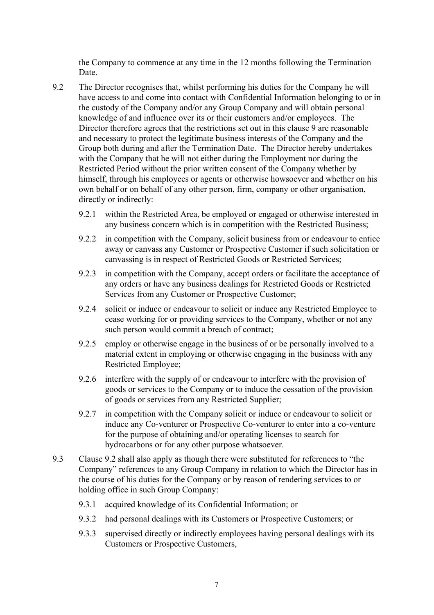the Company to commence at any time in the 12 months following the Termination Date.

- 9.2 The Director recognises that, whilst performing his duties for the Company he will have access to and come into contact with Confidential Information belonging to or in the custody of the Company and/or any Group Company and will obtain personal knowledge of and influence over its or their customers and/or employees. The Director therefore agrees that the restrictions set out in this clause 9 are reasonable and necessary to protect the legitimate business interests of the Company and the Group both during and after the Termination Date. The Director hereby undertakes with the Company that he will not either during the Employment nor during the Restricted Period without the prior written consent of the Company whether by himself, through his employees or agents or otherwise howsoever and whether on his own behalf or on behalf of any other person, firm, company or other organisation, directly or indirectly:
	- 9.2.1 within the Restricted Area, be employed or engaged or otherwise interested in any business concern which is in competition with the Restricted Business;
	- 9.2.2 in competition with the Company, solicit business from or endeavour to entice away or canvass any Customer or Prospective Customer if such solicitation or canvassing is in respect of Restricted Goods or Restricted Services;
	- 9.2.3 in competition with the Company, accept orders or facilitate the acceptance of any orders or have any business dealings for Restricted Goods or Restricted Services from any Customer or Prospective Customer;
	- 9.2.4 solicit or induce or endeavour to solicit or induce any Restricted Employee to cease working for or providing services to the Company, whether or not any such person would commit a breach of contract;
	- 9.2.5 employ or otherwise engage in the business of or be personally involved to a material extent in employing or otherwise engaging in the business with any Restricted Employee;
	- 9.2.6 interfere with the supply of or endeavour to interfere with the provision of goods or services to the Company or to induce the cessation of the provision of goods or services from any Restricted Supplier;
	- 9.2.7 in competition with the Company solicit or induce or endeavour to solicit or induce any Co-venturer or Prospective Co-venturer to enter into a co-venture for the purpose of obtaining and/or operating licenses to search for hydrocarbons or for any other purpose whatsoever.
- 9.3 Clause 9.2 shall also apply as though there were substituted for references to "the Company" references to any Group Company in relation to which the Director has in the course of his duties for the Company or by reason of rendering services to or holding office in such Group Company:
	- 9.3.1 acquired knowledge of its Confidential Information; or
	- 9.3.2 had personal dealings with its Customers or Prospective Customers; or
	- 9.3.3 supervised directly or indirectly employees having personal dealings with its Customers or Prospective Customers,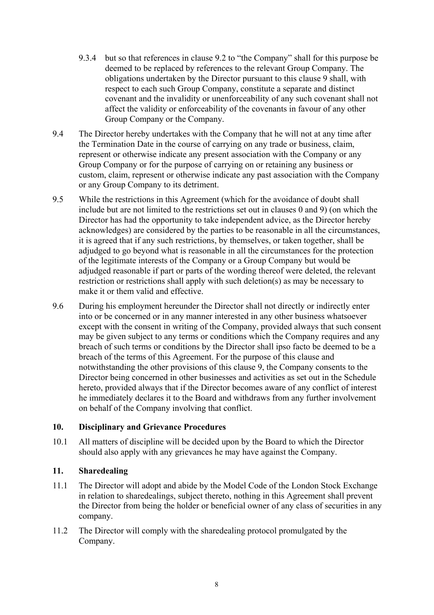- 9.3.4 but so that references in clause 9.2 to "the Company" shall for this purpose be deemed to be replaced by references to the relevant Group Company. The obligations undertaken by the Director pursuant to this clause 9 shall, with respect to each such Group Company, constitute a separate and distinct covenant and the invalidity or unenforceability of any such covenant shall not affect the validity or enforceability of the covenants in favour of any other Group Company or the Company.
- 9.4 The Director hereby undertakes with the Company that he will not at any time after the Termination Date in the course of carrying on any trade or business, claim, represent or otherwise indicate any present association with the Company or any Group Company or for the purpose of carrying on or retaining any business or custom, claim, represent or otherwise indicate any past association with the Company or any Group Company to its detriment.
- 9.5 While the restrictions in this Agreement (which for the avoidance of doubt shall include but are not limited to the restrictions set out in clauses 0 and 9) (on which the Director has had the opportunity to take independent advice, as the Director hereby acknowledges) are considered by the parties to be reasonable in all the circumstances, it is agreed that if any such restrictions, by themselves, or taken together, shall be adjudged to go beyond what is reasonable in all the circumstances for the protection of the legitimate interests of the Company or a Group Company but would be adjudged reasonable if part or parts of the wording thereof were deleted, the relevant restriction or restrictions shall apply with such deletion(s) as may be necessary to make it or them valid and effective.
- 9.6 During his employment hereunder the Director shall not directly or indirectly enter into or be concerned or in any manner interested in any other business whatsoever except with the consent in writing of the Company, provided always that such consent may be given subject to any terms or conditions which the Company requires and any breach of such terms or conditions by the Director shall ipso facto be deemed to be a breach of the terms of this Agreement. For the purpose of this clause and notwithstanding the other provisions of this clause 9, the Company consents to the Director being concerned in other businesses and activities as set out in the Schedule hereto, provided always that if the Director becomes aware of any conflict of interest he immediately declares it to the Board and withdraws from any further involvement on behalf of the Company involving that conflict.

#### **10. Disciplinary and Grievance Procedures**

10.1 All matters of discipline will be decided upon by the Board to which the Director should also apply with any grievances he may have against the Company.

#### **11. Sharedealing**

- 11.1 The Director will adopt and abide by the Model Code of the London Stock Exchange in relation to sharedealings, subject thereto, nothing in this Agreement shall prevent the Director from being the holder or beneficial owner of any class of securities in any company.
- 11.2 The Director will comply with the sharedealing protocol promulgated by the Company.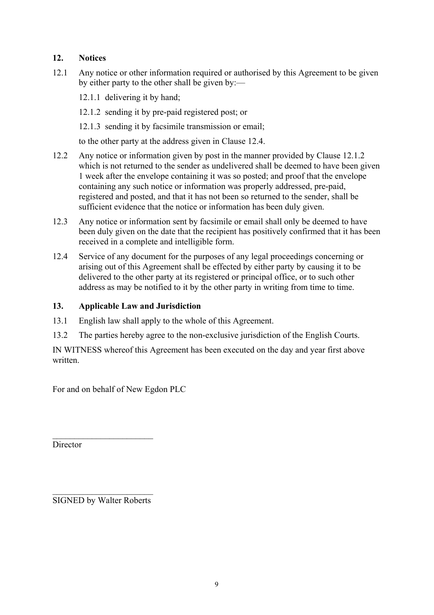## **12. Notices**

- 12.1 Any notice or other information required or authorised by this Agreement to be given by either party to the other shall be given by:—
	- 12.1.1 delivering it by hand;
	- 12.1.2 sending it by pre-paid registered post; or
	- 12.1.3 sending it by facsimile transmission or email;

to the other party at the address given in Clause 12.4.

- 12.2 Any notice or information given by post in the manner provided by Clause 12.1.2 which is not returned to the sender as undelivered shall be deemed to have been given 1 week after the envelope containing it was so posted; and proof that the envelope containing any such notice or information was properly addressed, pre-paid, registered and posted, and that it has not been so returned to the sender, shall be sufficient evidence that the notice or information has been duly given.
- 12.3 Any notice or information sent by facsimile or email shall only be deemed to have been duly given on the date that the recipient has positively confirmed that it has been received in a complete and intelligible form.
- 12.4 Service of any document for the purposes of any legal proceedings concerning or arising out of this Agreement shall be effected by either party by causing it to be delivered to the other party at its registered or principal office, or to such other address as may be notified to it by the other party in writing from time to time.

### **13. Applicable Law and Jurisdiction**

- 13.1 English law shall apply to the whole of this Agreement.
- 13.2 The parties hereby agree to the non-exclusive jurisdiction of the English Courts.

IN WITNESS whereof this Agreement has been executed on the day and year first above written.

For and on behalf of New Egdon PLC

**Director** 

 $\mathcal{L}_\text{max}$  , where  $\mathcal{L}_\text{max}$  , we have the set of  $\mathcal{L}_\text{max}$ SIGNED by Walter Roberts

 $\mathcal{L}_\text{max}$  , where  $\mathcal{L}_\text{max}$  , we have the set of  $\mathcal{L}_\text{max}$